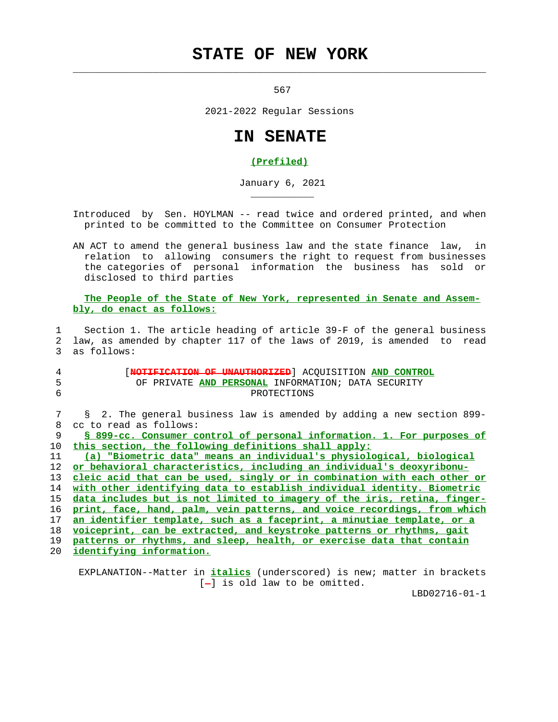## **STATE OF NEW YORK**

 $\mathcal{L}_\text{max} = \frac{1}{2} \sum_{i=1}^{n} \frac{1}{2} \sum_{i=1}^{n} \frac{1}{2} \sum_{i=1}^{n} \frac{1}{2} \sum_{i=1}^{n} \frac{1}{2} \sum_{i=1}^{n} \frac{1}{2} \sum_{i=1}^{n} \frac{1}{2} \sum_{i=1}^{n} \frac{1}{2} \sum_{i=1}^{n} \frac{1}{2} \sum_{i=1}^{n} \frac{1}{2} \sum_{i=1}^{n} \frac{1}{2} \sum_{i=1}^{n} \frac{1}{2} \sum_{i=1}^{n} \frac{1$ 

\_\_\_\_\_\_\_\_\_\_\_

567

2021-2022 Regular Sessions

## **IN SENATE**

## **(Prefiled)**

January 6, 2021

 Introduced by Sen. HOYLMAN -- read twice and ordered printed, and when printed to be committed to the Committee on Consumer Protection

 AN ACT to amend the general business law and the state finance law, in relation to allowing consumers the right to request from businesses the categories of personal information the business has sold or disclosed to third parties

 **The People of the State of New York, represented in Senate and Assem bly, do enact as follows:**

 1 Section 1. The article heading of article 39-F of the general business 2 law, as amended by chapter 117 of the laws of 2019, is amended to read 3 as follows:

| 4<br>5<br>6 | <b>NOTIFICATION OF UNAUTHORIZED</b> ACQUISITION AND CONTROL<br>OF PRIVATE AND PERSONAL INFORMATION; DATA SECURITY<br>PROTECTIONS |
|-------------|----------------------------------------------------------------------------------------------------------------------------------|
| 7           | § 2. The general business law is amended by adding a new section 899-                                                            |
| 8           | cc to read as follows:                                                                                                           |
| 9           | § 899-cc. Consumer control of personal information. 1. For purposes of                                                           |
| 10          | this section, the following definitions shall apply:                                                                             |
| 11          | (a) "Biometric data" means an individual's physiological, biological                                                             |
| 12          | or behavioral characteristics, including an individual's deoxyribonu-                                                            |
| 13          | cleic acid that can be used, singly or in combination with each other or                                                         |
| 14          | with other identifying data to establish individual identity. Biometric                                                          |
| 15          | data includes but is not limited to imagery of the iris, retina, finger-                                                         |
| 16          | print, face, hand, palm, vein patterns, and voice recordings, from which                                                         |
| 17          | an identifier template, such as a faceprint, a minutiae template, or a                                                           |
| 18          | voiceprint, can be extracted, and keystroke patterns or rhythms, gait                                                            |
| 19          | patterns or rhythms, and sleep, health, or exercise data that contain                                                            |
| 20          | identifving information.                                                                                                         |

 EXPLANATION--Matter in **italics** (underscored) is new; matter in brackets  $[-]$  is old law to be omitted.

LBD02716-01-1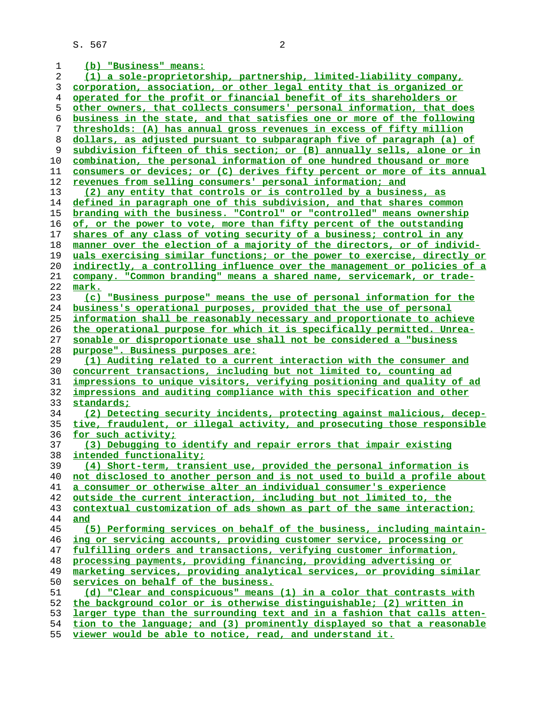**(b) "Business" means: (1) a sole-proprietorship, partnership, limited-liability company, corporation, association, or other legal entity that is organized or operated for the profit or financial benefit of its shareholders or other owners, that collects consumers' personal information, that does business in the state, and that satisfies one or more of the following thresholds: (A) has annual gross revenues in excess of fifty million dollars, as adjusted pursuant to subparagraph five of paragraph (a) of subdivision fifteen of this section; or (B) annually sells, alone or in combination, the personal information of one hundred thousand or more consumers or devices; or (C) derives fifty percent or more of its annual revenues from selling consumers' personal information; and (2) any entity that controls or is controlled by a business, as defined in paragraph one of this subdivision, and that shares common branding with the business. "Control" or "controlled" means ownership of, or the power to vote, more than fifty percent of the outstanding shares of any class of voting security of a business; control in any manner over the election of a majority of the directors, or of individ- uals exercising similar functions; or the power to exercise, directly or indirectly, a controlling influence over the management or policies of a company. "Common branding" means a shared name, servicemark, or trade- mark. (c) "Business purpose" means the use of personal information for the business's operational purposes, provided that the use of personal information shall be reasonably necessary and proportionate to achieve the operational purpose for which it is specifically permitted. Unrea- sonable or disproportionate use shall not be considered a "business purpose". Business purposes are: (1) Auditing related to a current interaction with the consumer and concurrent transactions, including but not limited to, counting ad impressions to unique visitors, verifying positioning and quality of ad impressions and auditing compliance with this specification and other standards; (2) Detecting security incidents, protecting against malicious, decep- tive, fraudulent, or illegal activity, and prosecuting those responsible for such activity; (3) Debugging to identify and repair errors that impair existing intended functionality; (4) Short-term, transient use, provided the personal information is not disclosed to another person and is not used to build a profile about a consumer or otherwise alter an individual consumer's experience outside the current interaction, including but not limited to, the contextual customization of ads shown as part of the same interaction; and (5) Performing services on behalf of the business, including maintain- ing or servicing accounts, providing customer service, processing or fulfilling orders and transactions, verifying customer information, processing payments, providing financing, providing advertising or marketing services, providing analytical services, or providing similar services on behalf of the business. (d) "Clear and conspicuous" means (1) in a color that contrasts with the background color or is otherwise distinguishable; (2) written in larger type than the surrounding text and in a fashion that calls atten- tion to the language; and (3) prominently displayed so that a reasonable**

**viewer would be able to notice, read, and understand it.**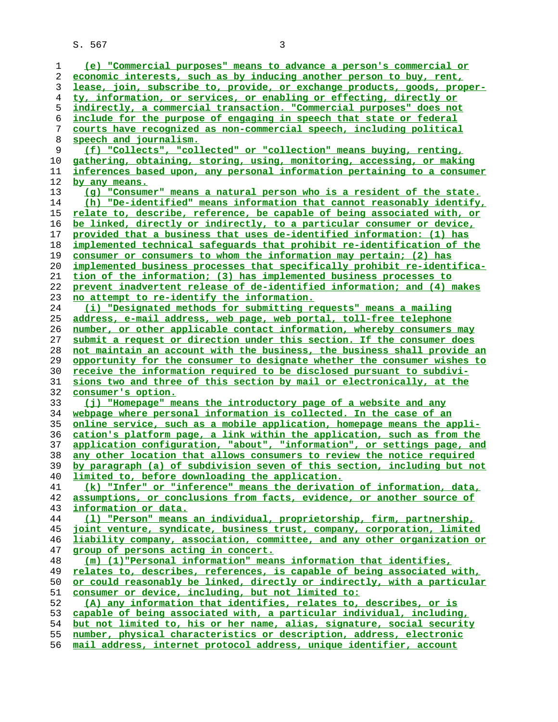| 1  | (e) "Commercial purposes" means to advance a person's commercial or             |
|----|---------------------------------------------------------------------------------|
|    |                                                                                 |
| 2  | economic interests, such as by inducing another person to buy, rent,            |
| 3  | <u>lease, join, subscribe to, provide, or exchange products, goods, proper-</u> |
| 4  | ty, information, or services, or enabling or effecting, directly or             |
| 5  | indirectly, a commercial transaction. "Commercial purposes" does not            |
|    |                                                                                 |
| 6  | include for the purpose of engaging in speech that state or federal             |
| 7  | courts have recognized as non-commercial speech, including political            |
| 8  | speech and journalism.                                                          |
| 9  | (f) "Collects", "collected" or "collection" means buying, renting,              |
| 10 | gathering, obtaining, storing, using, monitoring, accessing, or making          |
|    |                                                                                 |
| 11 | inferences based upon, any personal information pertaining to a consumer        |
| 12 | by any means.                                                                   |
| 13 | (g) "Consumer" means a natural person who is a resident of the state.           |
| 14 | (h) "De-identified" means information that cannot reasonably identify,          |
| 15 | relate to, describe, reference, be capable of being associated with, or         |
| 16 | be linked, directly or indirectly, to a particular consumer or device,          |
|    |                                                                                 |
| 17 | provided that a business that uses de-identified information: (1) has           |
| 18 | implemented technical safeguards that prohibit re-identification of the         |
| 19 | consumer or consumers to whom the information may pertain; (2) has              |
| 20 | implemented business processes that specifically prohibit re-identifica-        |
| 21 | tion of the information; (3) has implemented business processes to              |
| 22 | prevent inadvertent release of de-identified information; and (4) makes         |
|    |                                                                                 |
| 23 | no attempt to re-identify the information.                                      |
| 24 | (i) "Designated methods for submitting requests" means a mailing                |
| 25 | address, e-mail address, web page, web portal, toll-free telephone              |
| 26 | number, or other applicable contact information, whereby consumers may          |
| 27 | submit a request or direction under this section. If the consumer does          |
| 28 | not maintain an account with the business, the business shall provide an        |
| 29 | opportunity for the consumer to designate whether the consumer wishes to        |
| 30 |                                                                                 |
|    | <u>receive the information required to be disclosed pursuant to subdivi-</u>    |
| 31 | sions two and three of this section by mail or electronically, at the           |
|    |                                                                                 |
| 32 | consumer's option.                                                              |
| 33 | (j) "Homepage" means the introductory page of a website and any                 |
| 34 |                                                                                 |
|    | webpage where personal information is collected. In the case of an              |
| 35 | online service, such as a mobile application, homepage means the appli-         |
| 36 | cation's platform page, a link within the application, such as from the         |
| 37 | application configuration, "about", "information", or settings page, and        |
| 38 | any other location that allows consumers to review the notice required          |
| 39 | by paragraph (a) of subdivision seven of this section, including but not        |
| 40 | limited to, before downloading the application.                                 |
| 41 | (k) "Infer" or "inference" means the derivation of information, data,           |
|    |                                                                                 |
| 42 | assumptions, or conclusions from facts, evidence, or another source of          |
| 43 | information or data.                                                            |
| 44 | (1) "Person" means an individual, proprietorship, firm, partnership,            |
| 45 | joint venture, syndicate, business trust, company, corporation, limited         |
| 46 | liability company, association, committee, and any other organization or        |
| 47 | group of persons acting in concert.                                             |
| 48 | (m) (1) "Personal information" means information that identifies,               |
|    |                                                                                 |
| 49 | relates to, describes, references, is capable of being associated with,         |
| 50 | or could reasonably be linked, directly or indirectly, with a particular        |
| 51 | consumer or device, including, but not limited to:                              |
| 52 | (A) any information that identifies, relates to, describes, or is               |
| 53 | capable of being associated with, a particular individual, including,           |
| 54 | but not limited to, his or her name, alias, signature, social security          |
| 55 | number, physical characteristics or description, address, electronic            |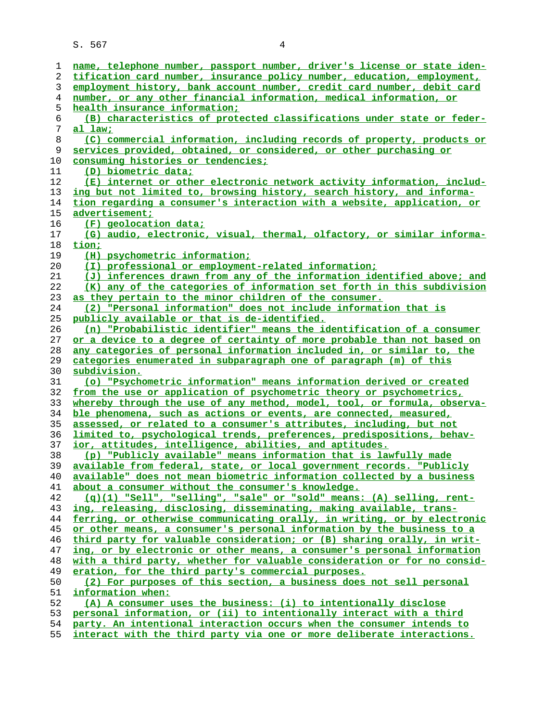| 1  | name, telephone number, passport number, driver's license or state iden-      |
|----|-------------------------------------------------------------------------------|
| 2  | tification card number, insurance policy number, education, employment,       |
| 3  | employment history, bank account number, credit card number, debit card       |
| 4  | number, or any other financial information, medical information, or           |
| 5  | health insurance information;                                                 |
| 6  | (B) characteristics of protected classifications under state or feder-        |
| 7  | <u>al law;</u>                                                                |
| 8  | (C) commercial information, including records of property, products or        |
| 9  | services provided, obtained, or considered, or other purchasing or            |
| 10 | consuming histories or tendencies;                                            |
| 11 | (D) biometric data;                                                           |
| 12 | (E) internet or other electronic network activity information, includ-        |
| 13 | <u>ing but not limited to, browsing history, search history, and informa-</u> |
| 14 | tion regarding a consumer's interaction with a website, application, or       |
| 15 | <u>advertisement;</u>                                                         |
| 16 | $(F)$ geolocation data;                                                       |
|    | (G) audio, electronic, visual, thermal, olfactory, or similar informa-        |
| 17 |                                                                               |
| 18 | tion;                                                                         |
| 19 | (H) psychometric information;                                                 |
| 20 | (I) professional or employment-related information;                           |
| 21 | (J) inferences drawn from any of the information identified above; and        |
| 22 | (K) any of the categories of information set forth in this subdivision        |
| 23 | as they pertain to the minor children of the consumer.                        |
| 24 | (2) "Personal information" does not include information that is               |
| 25 | publicly available or that is de-identified.                                  |
| 26 | (n) "Probabilistic identifier" means the identification of a consumer         |
| 27 | or a device to a degree of certainty of more probable than not based on       |
| 28 | any categories of personal information included in, or similar to, the        |
| 29 | categories enumerated in subparagraph one of paragraph (m) of this            |
| 30 | subdivision.                                                                  |
| 31 | (o) "Psychometric information" means information derived or created           |
| 32 | from the use or application of psychometric theory or psychometrics,          |
| 33 | whereby through the use of any method, model, tool, or formula, observa-      |
| 34 | ble phenomena, such as actions or events, are connected, measured,            |
| 35 | assessed, or related to a consumer's attributes, including, but not           |
| 36 | limited to, psychological trends, preferences, predispositions, behav-        |
| 37 | ior, attitudes, intelligence, abilities, and aptitudes.                       |
| 38 | (p) "Publicly available" means information that is lawfully made              |
| 39 | available from federal, state, or local government records. "Publicly         |
| 40 | available" does not mean biometric information collected by a business        |
| 41 | about a consumer without the consumer's knowledge.                            |
| 42 | $(q)(1)$ "Sell", "selling", "sale" or "sold" means: (A) selling, rent-        |
| 43 | ing, releasing, disclosing, disseminating, making available, trans-           |
| 44 | ferring, or otherwise communicating orally, in writing, or by electronic      |
| 45 | or other means, a consumer's personal information by the business to a        |
| 46 | third party for valuable consideration; or (B) sharing orally, in writ-       |
| 47 | ing, or by electronic or other means, a consumer's personal information       |
| 48 | with a third party, whether for valuable consideration or for no consid-      |
|    |                                                                               |
| 49 | eration, for the third party's commercial purposes.                           |
| 50 | (2) For purposes of this section, a business does not sell personal           |
| 51 | information when:                                                             |
| 52 | (A) A consumer uses the business: (i) to intentionally disclose               |
| 53 | personal information, or (ii) to intentionally interact with a third          |
| 54 | party. An intentional interaction occurs when the consumer intends to         |

**interact with the third party via one or more deliberate interactions.**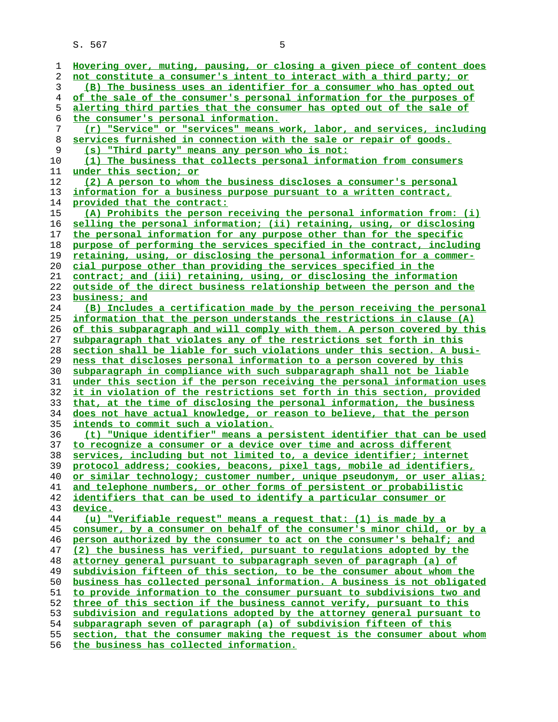| 1  | Hovering over, muting, pausing, or closing a given piece of content does |
|----|--------------------------------------------------------------------------|
|    | not constitute a consumer's intent to interact with a third party; or    |
| 2  |                                                                          |
| 3  | (B) The business uses an identifier for a consumer who has opted out     |
| 4  | of the sale of the consumer's personal information for the purposes of   |
| 5  | alerting third parties that the consumer has opted out of the sale of    |
| 6  | the consumer's personal information.                                     |
| 7  | (r) "Service" or "services" means work, labor, and services, including   |
| 8  | services furnished in connection with the sale or repair of goods.       |
| 9  | (s) "Third party" means any person who is not:                           |
| 10 | (1) The business that collects personal information from consumers       |
| 11 | under this section; or                                                   |
|    |                                                                          |
| 12 | (2) A person to whom the business discloses a consumer's personal        |
| 13 | information for a business purpose pursuant to a written contract,       |
| 14 | provided that the contract:                                              |
| 15 | (A) Prohibits the person receiving the personal information from: (i)    |
| 16 | selling the personal information; (ii) retaining, using, or disclosing   |
| 17 | the personal information for any purpose other than for the specific     |
| 18 | purpose of performing the services specified in the contract, including  |
| 19 | retaining, using, or disclosing the personal information for a commer-   |
| 20 | cial purpose other than providing the services specified in the          |
| 21 | contract; and (iii) retaining, using, or disclosing the information      |
| 22 | outside of the direct business relationship between the person and the   |
| 23 | business; and                                                            |
| 24 | (B) Includes a certification made by the person receiving the personal   |
| 25 | information that the person understands the restrictions in clause (A)   |
|    |                                                                          |
| 26 | of this subparagraph and will comply with them. A person covered by this |
| 27 | subparagraph that violates any of the restrictions set forth in this     |
| 28 | section shall be liable for such violations under this section. A busi-  |
| 29 | ness that discloses personal information to a person covered by this     |
| 30 | subparagraph in compliance with such subparagraph shall not be liable    |
| 31 | under this section if the person receiving the personal information uses |
| 32 | it in violation of the restrictions set forth in this section, provided  |
| 33 | that, at the time of disclosing the personal information, the business   |
| 34 | does not have actual knowledge, or reason to believe, that the person    |
| 35 | <u>intends to commit such a violation.</u>                               |
| 36 | (t) "Unique identifier" means a persistent identifier that can be used   |
| 37 | to recognize a consumer or a device over time and across different       |
| 38 | services, including but not limited to, a device identifier; internet    |
| 39 | protocol address: cookies, beacons, pixel tags, mobile ad identifiers,   |
| 40 | or similar technology; customer number, unique pseudonym, or user alias; |
| 41 | and telephone numbers, or other forms of persistent or probabilistic     |
| 42 | identifiers that can be used to identify a particular consumer or        |
| 43 | device.                                                                  |
| 44 | (u) "Verifiable request" means a request that: (1) is made by a          |
| 45 | consumer, by a consumer on behalf of the consumer's minor child, or by a |
| 46 | person authorized by the consumer to act on the consumer's behalf; and   |
| 47 | (2) the business has verified, pursuant to regulations adopted by the    |
| 48 | attorney general pursuant to subparagraph seven of paragraph (a) of      |
| 49 | subdivision fifteen of this section, to be the consumer about whom the   |
| 50 | business has collected personal information. A business is not obligated |
| 51 | to provide information to the consumer pursuant to subdivisions two and  |
| 52 | three of this section if the business cannot verify, pursuant to this    |
| 53 | subdivision and regulations adopted by the attorney general pursuant to  |
| 54 | subparagraph seven of paragraph (a) of subdivision fifteen of this       |
| 55 | section, that the consumer making the request is the consumer about whom |

**the business has collected information.**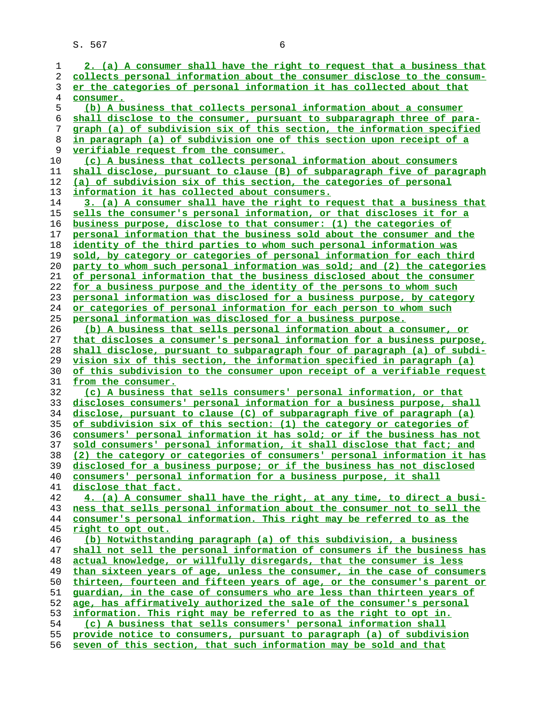**2. (a) A consumer shall have the right to request that a business that collects personal information about the consumer disclose to the consum- er the categories of personal information it has collected about that consumer. (b) A business that collects personal information about a consumer shall disclose to the consumer, pursuant to subparagraph three of para- graph (a) of subdivision six of this section, the information specified in paragraph (a) of subdivision one of this section upon receipt of a verifiable request from the consumer. (c) A business that collects personal information about consumers shall disclose, pursuant to clause (B) of subparagraph five of paragraph (a) of subdivision six of this section, the categories of personal information it has collected about consumers. 3. (a) A consumer shall have the right to request that a business that sells the consumer's personal information, or that discloses it for a business purpose, disclose to that consumer: (1) the categories of personal information that the business sold about the consumer and the identity of the third parties to whom such personal information was sold, by category or categories of personal information for each third party to whom such personal information was sold; and (2) the categories of personal information that the business disclosed about the consumer for a business purpose and the identity of the persons to whom such personal information was disclosed for a business purpose, by category or categories of personal information for each person to whom such personal information was disclosed for a business purpose. (b) A business that sells personal information about a consumer, or that discloses a consumer's personal information for a business purpose, shall disclose, pursuant to subparagraph four of paragraph (a) of subdi- vision six of this section, the information specified in paragraph (a) of this subdivision to the consumer upon receipt of a verifiable request from the consumer. (c) A business that sells consumers' personal information, or that discloses consumers' personal information for a business purpose, shall disclose, pursuant to clause (C) of subparagraph five of paragraph (a) of subdivision six of this section: (1) the category or categories of consumers' personal information it has sold; or if the business has not sold consumers' personal information, it shall disclose that fact; and (2) the category or categories of consumers' personal information it has disclosed for a business purpose; or if the business has not disclosed consumers' personal information for a business purpose, it shall disclose that fact. 4. (a) A consumer shall have the right, at any time, to direct a busi- ness that sells personal information about the consumer not to sell the consumer's personal information. This right may be referred to as the right to opt out. (b) Notwithstanding paragraph (a) of this subdivision, a business shall not sell the personal information of consumers if the business has actual knowledge, or willfully disregards, that the consumer is less than sixteen years of age, unless the consumer, in the case of consumers thirteen, fourteen and fifteen years of age, or the consumer's parent or guardian, in the case of consumers who are less than thirteen years of age, has affirmatively authorized the sale of the consumer's personal information. This right may be referred to as the right to opt in. (c) A business that sells consumers' personal information shall provide notice to consumers, pursuant to paragraph (a) of subdivision seven of this section, that such information may be sold and that**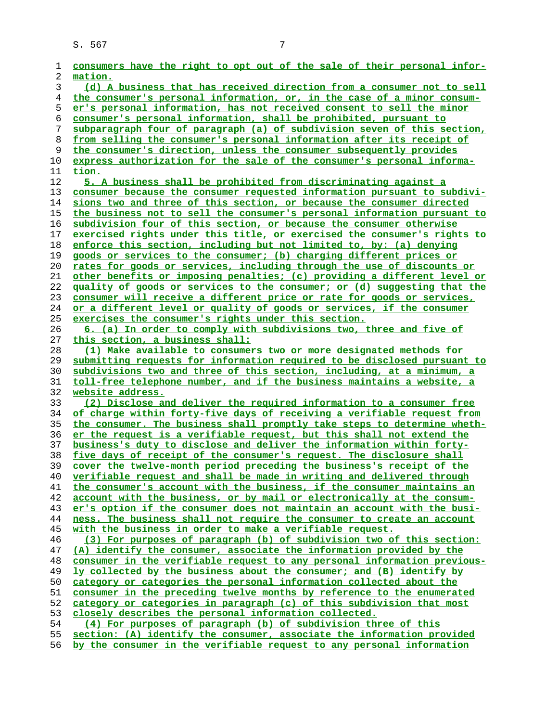| 1        | consumers have the right to opt out of the sale of their personal infor-                                                                       |
|----------|------------------------------------------------------------------------------------------------------------------------------------------------|
| 2        | mation.                                                                                                                                        |
| 3        | (d) A business that has received direction from a consumer not to sell                                                                         |
| 4        | the consumer's personal information, or, in the case of a minor consum-                                                                        |
| 5        | er's personal information, has not received consent to sell the minor                                                                          |
| 6        | consumer's personal information, shall be prohibited, pursuant to                                                                              |
| 7        | subparagraph four of paragraph (a) of subdivision seven of this section,                                                                       |
| 8        | from selling the consumer's personal information after its receipt of                                                                          |
| 9        | the consumer's direction, unless the consumer subsequently provides                                                                            |
| 10       | express authorization for the sale of the consumer's personal informa-                                                                         |
| 11       | tion.                                                                                                                                          |
| 12       | 5. A business shall be prohibited from discriminating against a                                                                                |
| 13       | consumer because the consumer requested information pursuant to subdivi-                                                                       |
| 14       | sions two and three of this section, or because the consumer directed                                                                          |
| 15       | the business not to sell the consumer's personal information pursuant to                                                                       |
| 16       | subdivision four of this section, or because the consumer otherwise                                                                            |
| 17       | exercised rights under this title, or exercised the consumer's rights to                                                                       |
| 18       | enforce this section, including but not limited to, by: (a) denying                                                                            |
| 19       | goods or services to the consumer; (b) charging different prices or                                                                            |
| 20       | rates for goods or services, including through the use of discounts or                                                                         |
| 21       | other benefits or imposing penalties; (c) providing a different level or                                                                       |
| 22       | quality of goods or services to the consumer; or (d) suggesting that the                                                                       |
| 23       | consumer will receive a different price or rate for goods or services,                                                                         |
| 24       | or a different level or quality of goods or services, if the consumer                                                                          |
| 25       | exercises the consumer's rights under this section.                                                                                            |
| 26       | 6. (a) In order to comply with subdivisions two, three and five of                                                                             |
| 27       | this section, a business shall:                                                                                                                |
| 28       | (1) Make available to consumers two or more designated methods for                                                                             |
| 29       | submitting requests for information required to be disclosed pursuant to                                                                       |
| 30       | subdivisions two and three of this section, including, at a minimum, a                                                                         |
| 31       | toll-free telephone number, and if the business maintains a website, a                                                                         |
| 32       | website address.                                                                                                                               |
| 33       | (2) Disclose and deliver the required information to a consumer free                                                                           |
| 34       | of charge within forty-five days of receiving a verifiable request from                                                                        |
| 35       | the consumer. The business shall promptly take steps to determine wheth-                                                                       |
| 36       | er the request is a verifiable request, but this shall not extend the                                                                          |
| 37       | business's duty to disclose and deliver the information within forty-                                                                          |
| 38<br>39 | five days of receipt of the consumer's request. The disclosure shall                                                                           |
| 40       | cover the twelve-month period preceding the business's receipt of the<br>verifiable request and shall be made in writing and delivered through |
| 41       | the consumer's account with the business, if the consumer maintains an                                                                         |
| 42       | account with the business, or by mail or electronically at the consum-                                                                         |
| 43       | er's option if the consumer does not maintain an account with the busi-                                                                        |
| 44       | ness. The business shall not require the consumer to create an account                                                                         |
| 45       | with the business in order to make a verifiable request.                                                                                       |
| 46       | (3) For purposes of paragraph (b) of subdivision two of this section:                                                                          |
| 47       | (A) identify the consumer, associate the information provided by the                                                                           |
| 48       | consumer in the verifiable request to any personal information previous-                                                                       |
| 49       | ly collected by the business about the consumer; and (B) identify by                                                                           |
| 50       | category or categories the personal information collected about the                                                                            |
| 51       | consumer in the preceding twelve months by reference to the enumerated                                                                         |
| 52       | category or categories in paragraph (c) of this subdivision that most                                                                          |
| 53       | closely describes the personal information collected.                                                                                          |
| 54       | (4) For purposes of paragraph (b) of subdivision three of this                                                                                 |
| 55       | section: (A) identify the consumer, associate the information provided                                                                         |
| 56       | by the consumer in the verifiable request to any personal information                                                                          |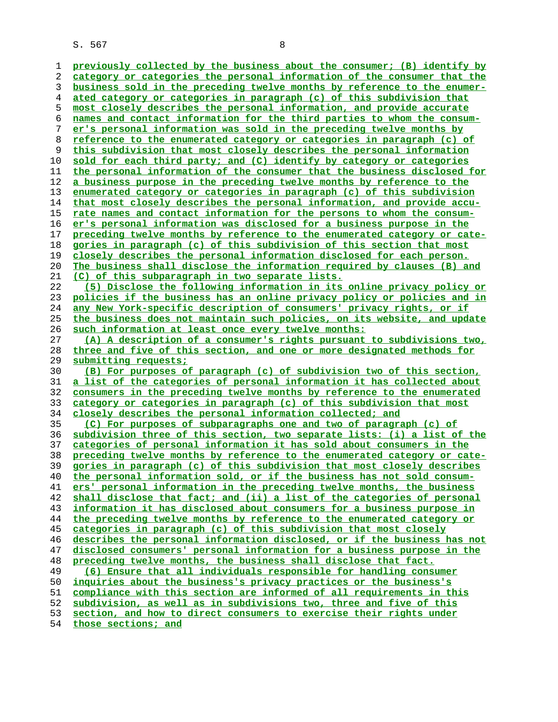**business sold in the preceding twelve months by reference to the enumer- ated category or categories in paragraph (c) of this subdivision that most closely describes the personal information, and provide accurate names and contact information for the third parties to whom the consum- er's personal information was sold in the preceding twelve months by reference to the enumerated category or categories in paragraph (c) of this subdivision that most closely describes the personal information sold for each third party; and (C) identify by category or categories the personal information of the consumer that the business disclosed for a business purpose in the preceding twelve months by reference to the enumerated category or categories in paragraph (c) of this subdivision that most closely describes the personal information, and provide accu- rate names and contact information for the persons to whom the consum- er's personal information was disclosed for a business purpose in the preceding twelve months by reference to the enumerated category or cate- gories in paragraph (c) of this subdivision of this section that most closely describes the personal information disclosed for each person. The business shall disclose the information required by clauses (B) and (C) of this subparagraph in two separate lists. (5) Disclose the following information in its online privacy policy or policies if the business has an online privacy policy or policies and in any New York-specific description of consumers' privacy rights, or if the business does not maintain such policies, on its website, and update such information at least once every twelve months: (A) A description of a consumer's rights pursuant to subdivisions two, three and five of this section, and one or more designated methods for submitting requests; (B) For purposes of paragraph (c) of subdivision two of this section, a list of the categories of personal information it has collected about consumers in the preceding twelve months by reference to the enumerated category or categories in paragraph (c) of this subdivision that most closely describes the personal information collected; and (C) For purposes of subparagraphs one and two of paragraph (c) of subdivision three of this section, two separate lists: (i) a list of the categories of personal information it has sold about consumers in the preceding twelve months by reference to the enumerated category or cate- gories in paragraph (c) of this subdivision that most closely describes the personal information sold, or if the business has not sold consum- ers' personal information in the preceding twelve months, the business shall disclose that fact; and (ii) a list of the categories of personal information it has disclosed about consumers for a business purpose in the preceding twelve months by reference to the enumerated category or categories in paragraph (c) of this subdivision that most closely describes the personal information disclosed, or if the business has not disclosed consumers' personal information for a business purpose in the preceding twelve months, the business shall disclose that fact. (6) Ensure that all individuals responsible for handling consumer inquiries about the business's privacy practices or the business's compliance with this section are informed of all requirements in this**

**subdivision, as well as in subdivisions two, three and five of this section, and how to direct consumers to exercise their rights under**

**those sections; and**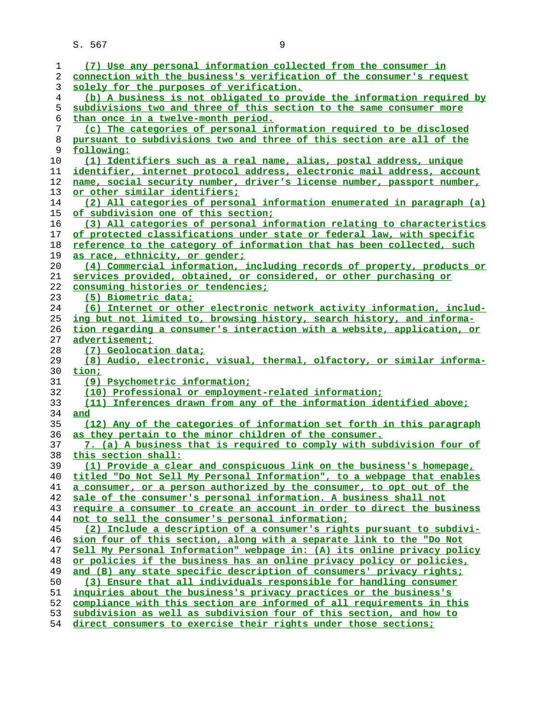| 1        | (7) Use any personal information collected from the consumer in         |
|----------|-------------------------------------------------------------------------|
| 2        | connection with the business's verification of the consumer's request   |
| 3        | solely for the purposes of verification.                                |
| 4        | (b) A business is not obligated to provide the information required by  |
| 5        | subdivisions two and three of this section to the same consumer more    |
| 6        | than once in a twelve-month period.                                     |
| 7        | (c) The categories of personal information required to be disclosed     |
| 8        | pursuant to subdivisions two and three of this section are all of the   |
| 9        | following:                                                              |
| 10       | (1) Identifiers such as a real name, alias, postal address, unique      |
| 11       | identifier, internet protocol address, electronic mail address, account |
| 12       | name, social security number, driver's license number, passport number, |
| 13       | or other similar identifiers;                                           |
| 14       | (2) All categories of personal information enumerated in paragraph (a)  |
| 15       | of subdivision one of this section;                                     |
| 16       | (3) All categories of personal information relating to characteristics  |
| 17       | of protected classifications under state or federal law, with specific  |
| 18       | reference to the category of information that has been collected, such  |
| 19       | as race, ethnicity, or gender;                                          |
| 20       | (4) Commercial information, including records of property, products or  |
| 21       | services provided, obtained, or considered, or other purchasing or      |
| 22       | consuming histories or tendencies;                                      |
| 23       | (5) Biometric data;                                                     |
| 24       | (6) Internet or other electronic network activity information, includ-  |
| 25       | ing but not limited to, browsing history, search history, and informa-  |
| 26       | tion regarding a consumer's interaction with a website, application, or |
| 27       | advertisement;                                                          |
| 28       | (7) Geolocation data;                                                   |
| 29       | (8) Audio, electronic, visual, thermal, olfactory, or similar informa-  |
| 30       | tion;                                                                   |
| 31       | (9) Psychometric information;                                           |
| 32       | (10) Professional or employment-related information;                    |
| 33       | (11) Inferences drawn from any of the information identified above;     |
|          | and                                                                     |
| 34       |                                                                         |
| 35       | (12) Any of the categories of information set forth in this paragraph   |
| 36       | as they pertain to the minor children of the consumer.                  |
| 37<br>38 | 7. (a) A business that is required to comply with subdivision four of   |
|          | this section shall:                                                     |
| 39       | (1) Provide a clear and conspicuous link on the business's homepage,    |
| 40       | titled "Do Not Sell My Personal Information", to a webpage that enables |
| 41       | a consumer, or a person authorized by the consumer, to opt out of the   |
| 42       | sale of the consumer's personal information. A business shall not       |
| 43       | require a consumer to create an account in order to direct the business |
| 44       | not to sell the consumer's personal information;                        |
| 45       | (2) Include a description of a consumer's rights pursuant to subdivi-   |
| 46       | sion four of this section, along with a separate link to the "Do Not    |
| 47       | Sell My Personal Information" webpage in: (A) its online privacy policy |
| 48       | or policies if the business has an online privacy policy or policies,   |
| 49       | and (B) any state specific description of consumers' privacy rights;    |
| 50       | (3) Ensure that all individuals responsible for handling consumer       |
| 51       | inquiries about the business's privacy practices or the business's      |
| 52       | compliance with this section are informed of all requirements in this   |
| 53       | subdivision as well as subdivision four of this section, and how to     |
| 54       | direct consumers to exercise their rights under those sections;         |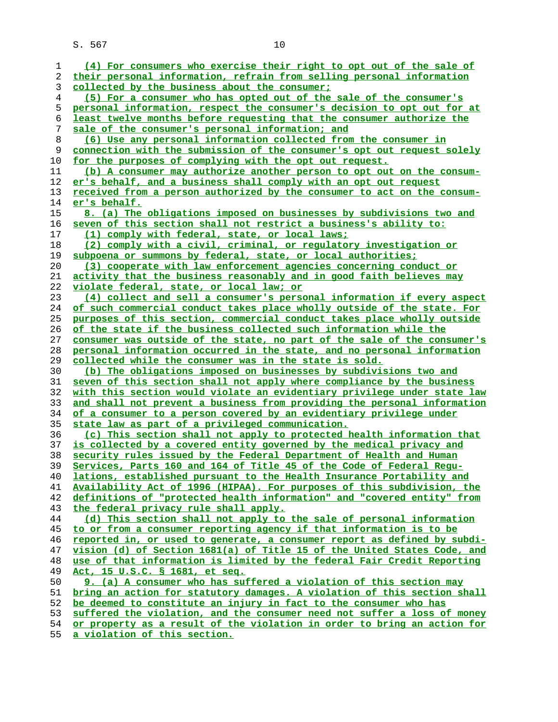| ı        | (4) For consumers who exercise their right to opt out of the sale of                                                               |
|----------|------------------------------------------------------------------------------------------------------------------------------------|
| 2        | their personal information, refrain from selling personal information                                                              |
| 3        | collected by the business about the consumer;                                                                                      |
| 4        | (5) For a consumer who has opted out of the sale of the consumer's                                                                 |
| 5        | personal information, respect the consumer's decision to opt out for at                                                            |
| 6        | least twelve months before requesting that the consumer authorize the                                                              |
| 7        | sale of the consumer's personal information; and                                                                                   |
| 8        | (6) Use any personal information collected from the consumer in                                                                    |
| 9        | connection with the submission of the consumer's opt out request solely                                                            |
| 10       | for the purposes of complying with the opt out request.                                                                            |
| 11       | (b) A consumer may authorize another person to opt out on the consum-                                                              |
| 12       | er's behalf, and a business shall comply with an opt out request                                                                   |
| 13       | received from a person authorized by the consumer to act on the consum-                                                            |
| 14       | er's behalf.                                                                                                                       |
| 15       | 8. (a) The obligations imposed on businesses by subdivisions two and                                                               |
| 16       | seven of this section shall not restrict a business's ability to:                                                                  |
| 17       | (1) comply with federal, state, or local laws;                                                                                     |
| 18       | (2) comply with a civil, criminal, or regulatory investigation or                                                                  |
| 19       | subpoena or summons by federal, state, or local authorities;                                                                       |
| 20       | (3) cooperate with law enforcement agencies concerning conduct or                                                                  |
| 21       | activity that the business reasonably and in good faith believes may                                                               |
| 22       | violate federal, state, or local law; or                                                                                           |
| 23       | (4) collect and sell a consumer's personal information if every aspect                                                             |
| 24       | of such commercial conduct takes place wholly outside of the state. For                                                            |
| 25       | purposes of this section, commercial conduct takes place wholly outside                                                            |
| 26       | of the state if the business collected such information while the                                                                  |
| 27       | consumer was outside of the state, no part of the sale of the consumer's                                                           |
| 28       | personal information occurred in the state, and no personal information                                                            |
| 29<br>30 | <u>collected while the consumer was in the state is sold.</u><br>(b) The obligations imposed on businesses by subdivisions two and |
| 31       | seven of this section shall not apply where compliance by the business                                                             |
| 32       | with this section would violate an evidentiary privilege under state law                                                           |
| 33       | and shall not prevent a business from providing the personal information                                                           |
| 34       | of a consumer to a person covered by an evidentiary privilege under                                                                |
| 35       | state law as part of a privileged communication.                                                                                   |
| 36       | (c) This section shall not apply to protected health information that                                                              |
| 37       | is collected by a covered entity governed by the medical privacy and                                                               |
| 38       | security rules issued by the Federal Department of Health and Human                                                                |
| 39       | Services, Parts 160 and 164 of Title 45 of the Code of Federal Requ-                                                               |
| 40       | lations, established pursuant to the Health Insurance Portability and                                                              |
| 41       | Availability Act of 1996 (HIPAA). For purposes of this subdivision, the                                                            |
| 42       | definitions of "protected health information" and "covered entity" from                                                            |
| 43       | the federal privacy rule shall apply.                                                                                              |
| 44       | (d) This section shall not apply to the sale of personal information                                                               |
| 45       | to or from a consumer reporting agency if that information is to be                                                                |
| 46       | reported in, or used to generate, a consumer report as defined by subdi-                                                           |
| 47       | vision (d) of Section 1681(a) of Title 15 of the United States Code, and                                                           |
| 48       | use of that information is limited by the federal Fair Credit Reporting                                                            |
| 49       | Act, 15 U.S.C. § 1681, et seq.                                                                                                     |
| 50       | 9. (a) A consumer who has suffered a violation of this section may                                                                 |
| 51       | bring an action for statutory damages. A violation of this section shall                                                           |
| 52       | be deemed to constitute an injury in fact to the consumer who has                                                                  |
| 53       | suffered the violation, and the consumer need not suffer a loss of money                                                           |
| 54       | or property as a result of the violation in order to bring an action for                                                           |

**a violation of this section.**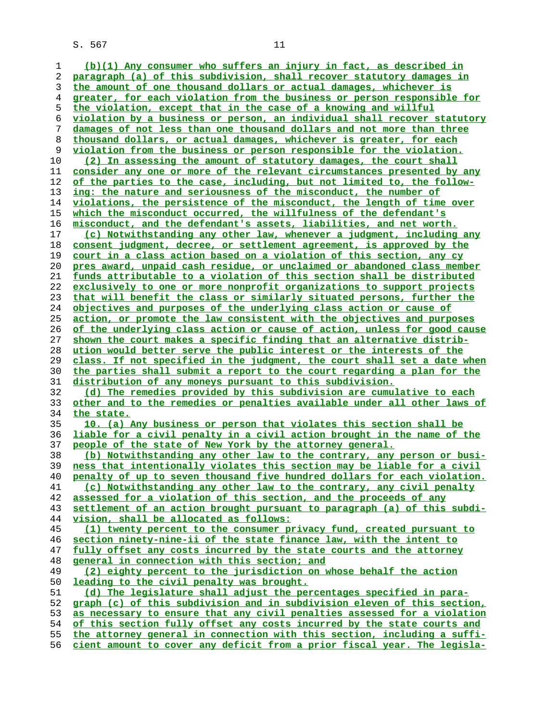**(b)(1) Any consumer who suffers an injury in fact, as described in paragraph (a) of this subdivision, shall recover statutory damages in**

**the amount of one thousand dollars or actual damages, whichever is greater, for each violation from the business or person responsible for the violation, except that in the case of a knowing and willful violation by a business or person, an individual shall recover statutory damages of not less than one thousand dollars and not more than three thousand dollars, or actual damages, whichever is greater, for each violation from the business or person responsible for the violation. (2) In assessing the amount of statutory damages, the court shall consider any one or more of the relevant circumstances presented by any of the parties to the case, including, but not limited to, the follow- ing: the nature and seriousness of the misconduct, the number of violations, the persistence of the misconduct, the length of time over which the misconduct occurred, the willfulness of the defendant's misconduct, and the defendant's assets, liabilities, and net worth. (c) Notwithstanding any other law, whenever a judgment, including any consent judgment, decree, or settlement agreement, is approved by the court in a class action based on a violation of this section, any cy pres award, unpaid cash residue, or unclaimed or abandoned class member funds attributable to a violation of this section shall be distributed exclusively to one or more nonprofit organizations to support projects that will benefit the class or similarly situated persons, further the objectives and purposes of the underlying class action or cause of action, or promote the law consistent with the objectives and purposes of the underlying class action or cause of action, unless for good cause shown the court makes a specific finding that an alternative distrib- ution would better serve the public interest or the interests of the class. If not specified in the judgment, the court shall set a date when the parties shall submit a report to the court regarding a plan for the distribution of any moneys pursuant to this subdivision. (d) The remedies provided by this subdivision are cumulative to each other and to the remedies or penalties available under all other laws of the state. 10. (a) Any business or person that violates this section shall be liable for a civil penalty in a civil action brought in the name of the people of the state of New York by the attorney general. (b) Notwithstanding any other law to the contrary, any person or busi- ness that intentionally violates this section may be liable for a civil penalty of up to seven thousand five hundred dollars for each violation. (c) Notwithstanding any other law to the contrary, any civil penalty assessed for a violation of this section, and the proceeds of any settlement of an action brought pursuant to paragraph (a) of this subdi- vision, shall be allocated as follows: (1) twenty percent to the consumer privacy fund, created pursuant to section ninety-nine-ii of the state finance law, with the intent to fully offset any costs incurred by the state courts and the attorney general in connection with this section; and (2) eighty percent to the jurisdiction on whose behalf the action leading to the civil penalty was brought. (d) The legislature shall adjust the percentages specified in para- graph (c) of this subdivision and in subdivision eleven of this section, as necessary to ensure that any civil penalties assessed for a violation of this section fully offset any costs incurred by the state courts and the attorney general in connection with this section, including a suffi- cient amount to cover any deficit from a prior fiscal year. The legisla-**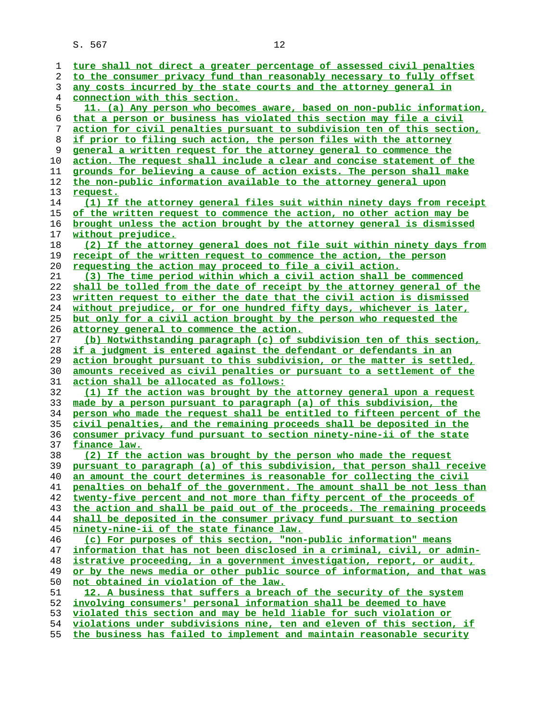| 1  | ture shall not direct a greater percentage of assessed civil penalties   |
|----|--------------------------------------------------------------------------|
| 2  | to the consumer privacy fund than reasonably necessary to fully offset   |
| 3  | any costs incurred by the state courts and the attorney general in       |
| 4  | <u>connection with this section.</u>                                     |
| 5  | 11. (a) Any person who becomes aware, based on non-public information,   |
| 6  | that a person or business has violated this section may file a civil     |
| 7  | action for civil penalties pursuant to subdivision ten of this section,  |
| 8  | if prior to filing such action, the person files with the attorney       |
| 9  | general a written request for the attorney general to commence the       |
|    |                                                                          |
| 10 | action. The request shall include a clear and concise statement of the   |
| 11 | grounds for believing a cause of action exists. The person shall make    |
| 12 | the non-public information available to the attorney general upon        |
| 13 | request.                                                                 |
| 14 | (1) If the attorney general files suit within ninety days from receipt   |
| 15 | of the written request to commence the action, no other action may be    |
| 16 | brought unless the action brought by the attorney general is dismissed   |
| 17 | without prejudice.                                                       |
| 18 | (2) If the attorney general does not file suit within ninety days from   |
| 19 | receipt of the written request to commence the action, the person        |
| 20 | requesting the action may proceed to file a civil action.                |
| 21 | (3) The time period within which a civil action shall be commenced       |
| 22 | shall be tolled from the date of receipt by the attorney general of the  |
| 23 | written request to either the date that the civil action is dismissed    |
|    |                                                                          |
| 24 | without prejudice, or for one hundred fifty days, whichever is later,    |
| 25 | but only for a civil action brought by the person who requested the      |
| 26 | attorney general to commence the action.                                 |
| 27 | (b) Notwithstanding paragraph (c) of subdivision ten of this section,    |
| 28 | if a judgment is entered against the defendant or defendants in an       |
| 29 | action brought pursuant to this subdivision, or the matter is settled,   |
| 30 | amounts received as civil penalties or pursuant to a settlement of the   |
| 31 | <u>action shall be allocated as follows:</u>                             |
| 32 | (1) If the action was brought by the attorney general upon a request     |
| 33 | made by a person pursuant to paragraph (a) of this subdivision, the      |
| 34 | person who made the request shall be entitled to fifteen percent of the  |
| 35 | civil penalties, and the remaining proceeds shall be deposited in the    |
| 36 | consumer privacy fund pursuant to section ninety-nine-ii of the state    |
| 37 | finance law.                                                             |
| 38 | (2) If the action was brought by the person who made the request         |
| 39 | pursuant to paragraph (a) of this subdivision, that person shall receive |
| 40 | an amount the court determines is reasonable for collecting the civil    |
| 41 | penalties on behalf of the government. The amount shall be not less than |
| 42 | twenty-five percent and not more than fifty percent of the proceeds of   |
| 43 | the action and shall be paid out of the proceeds. The remaining proceeds |
| 44 | shall be deposited in the consumer privacy fund pursuant to section      |
|    |                                                                          |
| 45 | ninety-nine-ii of the state finance law.                                 |
| 46 | (c) For purposes of this section, "non-public information" means         |
| 47 | information that has not been disclosed in a criminal, civil, or admin-  |
| 48 | istrative proceeding, in a government investigation, report, or audit,   |
| 49 | or by the news media or other public source of information, and that was |
| 50 | not obtained in violation of the law.                                    |
| 51 | 12. A business that suffers a breach of the security of the system       |
| 52 | involving consumers' personal information shall be deemed to have        |
| 53 | violated this section and may be held liable for such violation or       |
| 54 | violations under subdivisions nine, ten and eleven of this section, if   |
|    |                                                                          |

**the business has failed to implement and maintain reasonable security**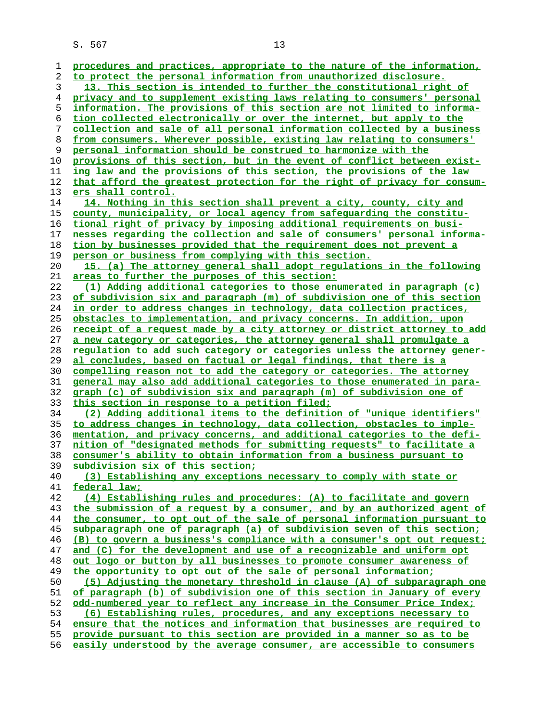| 1        | procedures and practices, appropriate to the nature of the information,                                                                  |
|----------|------------------------------------------------------------------------------------------------------------------------------------------|
| 2        | to protect the personal information from unauthorized disclosure.                                                                        |
| 3        | 13. This section is intended to further the constitutional right of                                                                      |
| 4        | privacy and to supplement existing laws relating to consumers' personal                                                                  |
| 5        | information. The provisions of this section are not limited to informa-                                                                  |
| 6        | tion collected electronically or over the internet, but apply to the                                                                     |
| 7        | collection and sale of all personal information collected by a business                                                                  |
| 8        | from consumers. Wherever possible, existing law relating to consumers'                                                                   |
| 9        | personal information should be construed to harmonize with the                                                                           |
| 10       | provisions of this section, but in the event of conflict between exist-                                                                  |
| 11       | ing law and the provisions of this section, the provisions of the law                                                                    |
| 12       | that afford the greatest protection for the right of privacy for consum-                                                                 |
| 13       | ers shall control.                                                                                                                       |
| 14       | 14. Nothing in this section shall prevent a city, county, city and                                                                       |
| 15       | county, municipality, or local agency from safeguarding the constitu-                                                                    |
| 16       | tional right of privacy by imposing additional requirements on busi-                                                                     |
| 17       | nesses regarding the collection and sale of consumers' personal informa-                                                                 |
| 18       | tion by businesses provided that the requirement does not prevent a                                                                      |
| 19       | person or business from complying with this section.                                                                                     |
| 20       | 15. (a) The attorney general shall adopt regulations in the following                                                                    |
| 21       | areas to further the purposes of this section:                                                                                           |
| 22       | (1) Adding additional categories to those enumerated in paragraph (c)                                                                    |
| 23       | of subdivision six and paragraph (m) of subdivision one of this section                                                                  |
| 24       | in order to address changes in technology, data collection practices,                                                                    |
| 25       | obstacles to implementation, and privacy concerns. In addition, upon                                                                     |
| 26       | receipt of a request made by a city attorney or district attorney to add                                                                 |
| 27       | a new category or categories, the attorney general shall promulgate a                                                                    |
| 28       | regulation to add such category or categories unless the attorney gener-                                                                 |
| 29       | al concludes, based on factual or legal findings, that there is a                                                                        |
| 30       | compelling reason not to add the category or categories. The attorney                                                                    |
| 31       | general may also add additional categories to those enumerated in para-                                                                  |
| 32       | graph (c) of subdivision six and paragraph (m) of subdivision one of                                                                     |
| 33       | this section in response to a petition filed;                                                                                            |
| 34       | (2) Adding additional items to the definition of "unique identifiers"                                                                    |
| 35       | to address changes in technology, data collection, obstacles to imple-                                                                   |
| 36       | mentation, and privacy concerns, and additional categories to the defi-                                                                  |
| 37       | nition of "designated methods for submitting requests" to facilitate a                                                                   |
| 38       | consumer's ability to obtain information from a business pursuant to                                                                     |
| 39       | subdivision six of this section;                                                                                                         |
| 40       | (3) Establishing any exceptions necessary to comply with state or                                                                        |
| 41       | federal law;                                                                                                                             |
| 42       | (4) Establishing rules and procedures: (A) to facilitate and govern                                                                      |
| 43       | the submission of a request by a consumer, and by an authorized agent of                                                                 |
| 44       | the consumer, to opt out of the sale of personal information pursuant to                                                                 |
| 45       | subparagraph one of paragraph (a) of subdivision seven of this section;                                                                  |
| 46       | (B) to govern a business's compliance with a consumer's opt out request;                                                                 |
| 47       | and (C) for the development and use of a recognizable and uniform opt                                                                    |
| 48<br>49 | out logo or button by all businesses to promote consumer awareness of<br>the opportunity to opt out of the sale of personal information; |
| 50       | (5) Adjusting the monetary threshold in clause (A) of subparagraph one                                                                   |
| 51       | of paragraph (b) of subdivision one of this section in January of every                                                                  |
| 52       | odd-numbered year to reflect any increase in the Consumer Price Index;                                                                   |
| 53       | (6) Establishing rules, procedures, and any exceptions necessary to                                                                      |
| 54       | ensure that the notices and information that businesses are required to                                                                  |
| 55       | provide pursuant to this section are provided in a manner so as to be                                                                    |
| 56       | easily understood by the average consumer, are accessible to consumers                                                                   |
|          |                                                                                                                                          |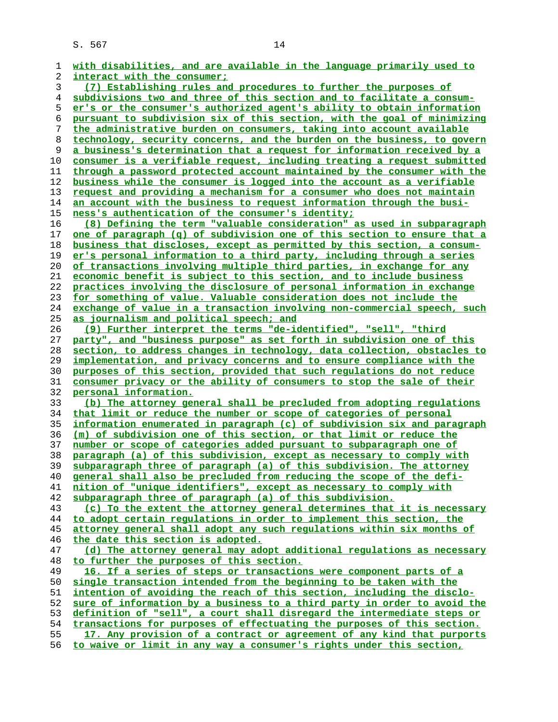| 1  | with disabilities, and are available in the language primarily used to         |
|----|--------------------------------------------------------------------------------|
| 2  | interact with the consumer;                                                    |
| 3  | (7) Establishing rules and procedures to further the purposes of               |
| 4  | subdivisions two and three of this section and to facilitate a consum-         |
| 5  | er's or the consumer's authorized agent's ability to obtain information        |
| 6  | pursuant to subdivision six of this section, with the goal of minimizing       |
|    |                                                                                |
| 7  | the administrative burden on consumers, taking into account available          |
| 8  | technology, security concerns, and the burden on the business, to govern       |
| 9  | a business's determination that a request for information received by a        |
| 10 | consumer is a verifiable request, including treating a request submitted       |
| 11 | through a password protected account maintained by the consumer with the       |
| 12 | business while the consumer is logged into the account as a verifiable         |
| 13 | request and providing a mechanism for a consumer who does not maintain         |
| 14 | an account with the business to request information through the busi-          |
| 15 | ness's authentication of the consumer's identity;                              |
|    |                                                                                |
| 16 | (8) Defining the term "valuable consideration" as used in subparagraph         |
| 17 | one of paragraph (q) of subdivision one of this section to ensure that a       |
| 18 | business that discloses, except as permitted by this section, a consum-        |
| 19 | er's personal information to a third party, including through a series         |
| 20 | of transactions involving multiple third parties, in exchange for any          |
| 21 | economic benefit is subject to this section, and to include business           |
| 22 | practices involving the disclosure of personal information in exchange         |
| 23 | for something of value. Valuable consideration does not include the            |
| 24 | exchange of value in a transaction involving non-commercial speech, such       |
| 25 | as journalism and political speech; and                                        |
|    |                                                                                |
| 26 | (9) Further interpret the terms "de-identified", "sell", "third                |
| 27 | party", and "business purpose" as set forth in subdivision one of this         |
| 28 | section, to address changes in technology, data collection, obstacles to       |
| 29 | <u>implementation, and privacy concerns and to ensure compliance with the </u> |
| 30 | purposes of this section, provided that such regulations do not reduce         |
| 31 | consumer privacy or the ability of consumers to stop the sale of their         |
| 32 | personal information.                                                          |
| 33 | (b) The attorney general shall be precluded from adopting regulations          |
| 34 | that limit or reduce the number or scope of categories of personal             |
| 35 | information enumerated in paragraph (c) of subdivision six and paragraph       |
| 36 | (m) of subdivision one of this section, or that limit or reduce the            |
| 37 | number or scope of categories added pursuant to subparagraph one of            |
|    |                                                                                |
| 38 | paragraph (a) of this subdivision, except as necessary to comply with          |
| 39 | subparagraph three of paragraph (a) of this subdivision. The attorney          |
| 40 | general shall also be precluded from reducing the scope of the defi-           |
| 41 | nition of "unique identifiers", except as necessary to comply with             |
| 42 | subparagraph three of paragraph (a) of this subdivision.                       |
| 43 | (c) To the extent the attorney general determines that it is necessary         |
| 44 | to adopt certain regulations in order to implement this section, the           |
| 45 | attorney general shall adopt any such regulations within six months of         |
| 46 | the date this section is adopted.                                              |
| 47 | (d) The attorney general may adopt additional regulations as necessary         |
| 48 | to further the purposes of this section.                                       |
|    |                                                                                |
| 49 | 16. If a series of steps or transactions were component parts of a             |
| 50 | single transaction intended from the beginning to be taken with the            |
| 51 | intention of avoiding the reach of this section, including the disclo-         |
| 52 | sure of information by a business to a third party in order to avoid the       |
| 53 | definition of "sell", a court shall disregard the intermediate steps or        |
| 54 | transactions for purposes of effectuating the purposes of this section.        |
| 55 | 17. Any provision of a contract or agreement of any kind that purports         |
| 56 | to waive or limit in any way a consumer's rights under this section,           |